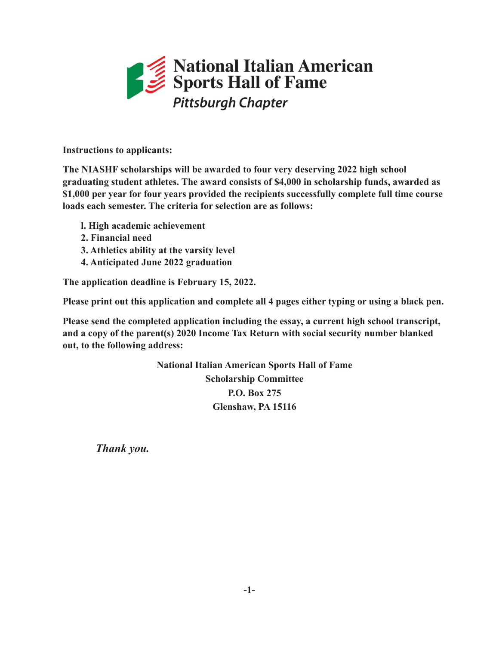## National Italian American<br>Sports Hall of Fame **Pittsburgh Chapter**

*Please print using black pen or type – Entire form must be filled out completely to be eligible for consideration.*  **Instructions to applicants:**

The NIASHF scholarships will be awarded to four very deserving 2022 high school \$1,000 per year for four years provided the recipients successfully complete full time course loads each semester. The criteria for selection are as follows: **graduating student athletes. The award consists of \$4,000 in scholarship funds, awarded as** 

- **l. High academic achievement** 
	- **2. Financial need**
- **3. Athletics ability at the varsity level**
- **Athletic Information: 4. Anticipated June 2022 graduation**

The application deadline is February 15, 2022.

Please print out this application and complete all 4 pages either typing or using a black pen.

Please send the completed application including the essay, a current high school transcript, *Position (s)* **<b>Played: Played: Played: Played: Played: Played: Played: Played: Played: Played: Played: Played: Played: Played: Played: Played: Played: Played: Played: Played: Playe and a copy of the parent(s) 2020 Income Tax Return with social security number blanked** 

**National Italian American Sports Hall of Fame Scholarship Committee \_\_\_\_\_\_\_\_\_\_\_\_\_\_\_\_\_\_\_\_\_\_\_\_\_\_\_\_\_\_\_\_\_\_\_\_\_\_\_\_\_\_\_\_\_\_\_\_\_\_\_\_\_\_\_\_\_\_\_\_\_\_\_\_\_\_\_\_\_\_\_\_\_\_\_\_\_\_\_\_\_\_\_ P.O. Box 275 Glenshaw, PA 15116**

**Academic Information** *Thank you.*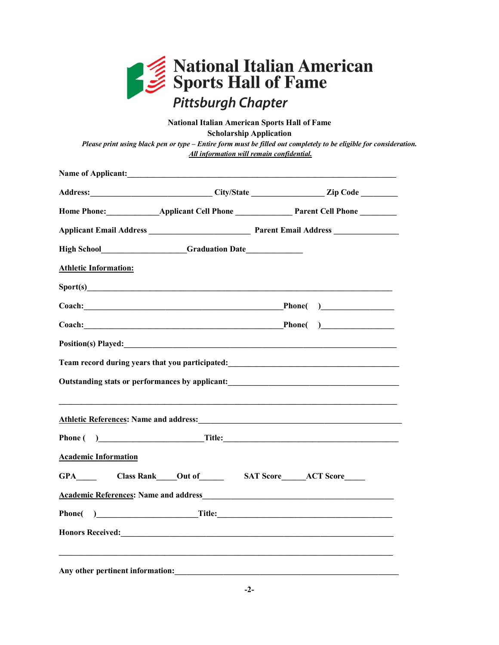

## **National Italian American Sports Hall of Fame Scholarship Application**

*Please print using black pen or type – Entire form must be filled out completely to be eligible for consideration. All information will remain confidential.*

|                              | Name of Applicant: <u>contract of the set of the set of the set of the set of the set of the set of the set of the set of the set of the set of the set of the set of the set of the set of the set of the set of the set of the</u> |                                                                                                           |
|------------------------------|--------------------------------------------------------------------------------------------------------------------------------------------------------------------------------------------------------------------------------------|-----------------------------------------------------------------------------------------------------------|
|                              |                                                                                                                                                                                                                                      | Address: City/State City/State Zip Code                                                                   |
|                              |                                                                                                                                                                                                                                      | Home Phone: Applicant Cell Phone Parent Cell Phone                                                        |
|                              |                                                                                                                                                                                                                                      |                                                                                                           |
|                              |                                                                                                                                                                                                                                      |                                                                                                           |
| <b>Athletic Information:</b> |                                                                                                                                                                                                                                      |                                                                                                           |
|                              | Sport(s)                                                                                                                                                                                                                             |                                                                                                           |
|                              |                                                                                                                                                                                                                                      | Coach: Phone()                                                                                            |
|                              |                                                                                                                                                                                                                                      | Coach: Phone( )                                                                                           |
|                              |                                                                                                                                                                                                                                      | Position(s) Played:                                                                                       |
|                              |                                                                                                                                                                                                                                      | Team record during years that you participated:<br>Team record during years that you participated:        |
|                              |                                                                                                                                                                                                                                      | Outstanding stats or performances by applicant:<br><u>Dutstanding</u> stats or performances by applicant: |
|                              |                                                                                                                                                                                                                                      | Athletic References: Name and address: Manual Athletic References: Name and address:                      |
|                              |                                                                                                                                                                                                                                      | Phone ( ) Title:                                                                                          |
| <b>Academic Information</b>  |                                                                                                                                                                                                                                      |                                                                                                           |
|                              |                                                                                                                                                                                                                                      |                                                                                                           |
|                              |                                                                                                                                                                                                                                      |                                                                                                           |
|                              |                                                                                                                                                                                                                                      | Phone() Title:                                                                                            |
|                              |                                                                                                                                                                                                                                      |                                                                                                           |
|                              |                                                                                                                                                                                                                                      |                                                                                                           |
|                              | Any other pertinent information:                                                                                                                                                                                                     |                                                                                                           |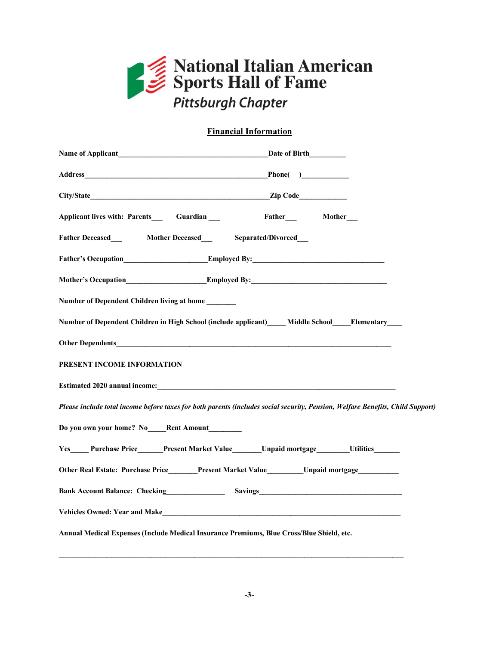

## **Financial Information**

| Applicant lives with: Parents______Guardian ____                                                                                                                                                                              | Father____ Mother___                                                                                                           |
|-------------------------------------------------------------------------------------------------------------------------------------------------------------------------------------------------------------------------------|--------------------------------------------------------------------------------------------------------------------------------|
| Father Deceased Mother Deceased Separated/Divorced                                                                                                                                                                            |                                                                                                                                |
| <b>Father's Occupation Employed By:</b>                                                                                                                                                                                       |                                                                                                                                |
|                                                                                                                                                                                                                               | Mother's Occupation <b>Employed By:</b> Employed By:                                                                           |
| Number of Dependent Children living at home                                                                                                                                                                                   |                                                                                                                                |
|                                                                                                                                                                                                                               | Number of Dependent Children in High School (include applicant) _____ Middle School______Elementary_____                       |
| Other Dependents has a series of the contract of the contract of the contract of the contract of the contract of the contract of the contract of the contract of the contract of the contract of the contract of the contract |                                                                                                                                |
| PRESENT INCOME INFORMATION                                                                                                                                                                                                    |                                                                                                                                |
| Estimated 2020 annual income: the contract of the contract of the contract of the contract of the contract of the contract of the contract of the contract of the contract of the contract of the contract of the contract of |                                                                                                                                |
|                                                                                                                                                                                                                               | Please include total income before taxes for both parents (includes social security, Pension, Welfare Benefits, Child Support) |
| Do you own your home? No Rent Amount                                                                                                                                                                                          |                                                                                                                                |
|                                                                                                                                                                                                                               | Yes Purchase Price Present Market Value Unpaid mortgage Utilities                                                              |
|                                                                                                                                                                                                                               | Other Real Estate: Purchase Price______Present Market Value________Unpaid mortgage__________                                   |
| Bank Account Balance: Checking<br><u>Examples</u>                                                                                                                                                                             |                                                                                                                                |
|                                                                                                                                                                                                                               | Vehicles Owned: Year and Make                                                                                                  |
| Annual Medical Expenses (Include Medical Insurance Premiums, Blue Cross/Blue Shield, etc.                                                                                                                                     |                                                                                                                                |

**\_\_\_\_\_\_\_\_\_\_\_\_\_\_\_\_\_\_\_\_\_\_\_\_\_\_\_\_\_\_\_\_\_\_\_\_\_\_\_\_\_\_\_\_\_\_\_\_\_\_\_\_\_\_\_\_\_\_\_\_\_\_\_\_\_\_\_\_\_\_\_\_\_\_\_\_\_\_\_\_\_\_\_\_\_\_\_\_\_\_\_\_\_\_**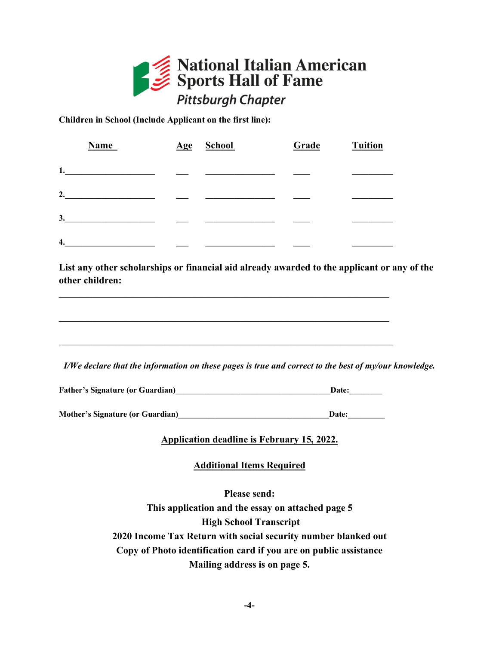

**Children in School (Include Applicant on the first line):**

|    | <b>Name</b> | $Age$ | <b>School</b> | Grade | <b>Tuition</b> |
|----|-------------|-------|---------------|-------|----------------|
| 1. |             |       |               |       |                |
| 2. |             |       |               |       |                |
| 3. |             |       |               |       |                |
| 4. |             |       |               |       |                |

**List any other scholarships or financial aid already awarded to the applicant or any of the other children:**

*I/We declare that the information on these pages is true and correct to the best of my/our knowledge.*

Father's Signature (or Guardian) **Date:** 

**\_\_\_\_\_\_\_\_\_\_\_\_\_\_\_\_\_\_\_\_\_\_\_\_\_\_\_\_\_\_\_\_\_\_\_\_\_\_\_\_\_\_\_\_\_\_\_\_\_\_\_\_\_\_\_\_\_\_\_\_\_\_\_\_\_\_\_\_\_\_\_\_\_\_\_\_\_\_\_\_\_**

**\_\_\_\_\_\_\_\_\_\_\_\_\_\_\_\_\_\_\_\_\_\_\_\_\_\_\_\_\_\_\_\_\_\_\_\_\_\_\_\_\_\_\_\_\_\_\_\_\_\_\_\_\_\_\_\_\_\_\_\_\_\_\_\_\_\_\_\_\_\_\_\_\_\_\_\_\_\_\_\_\_**

**\_\_\_\_\_\_\_\_\_\_\_\_\_\_\_\_\_\_\_\_\_\_\_\_\_\_\_\_\_\_\_\_\_\_\_\_\_\_\_\_\_\_\_\_\_\_\_\_\_\_\_\_\_\_\_\_\_\_\_\_\_\_\_\_\_\_\_\_\_\_\_\_\_\_\_\_\_\_\_\_\_\_**

| <b>Mother's Signature (or Guardian)</b> | <b>Date:</b> |
|-----------------------------------------|--------------|
|                                         |              |

**Application deadline is February 15, 2022.**

**Additional Items Required**

**Please send: This application and the essay on attached page 5 High School Transcript 2020 Income Tax Return with social security number blanked out Copy of Photo identification card if you are on public assistance Mailing address is on page 5.**